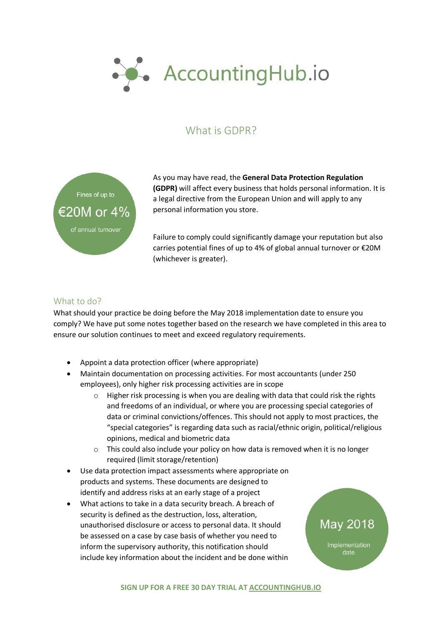

## What is GDPR?



As you may have read, the **General Data Protection Regulation (GDPR)** will affect every business that holds personal information. It is a legal directive from the European Union and will apply to any personal information you store.

Failure to comply could significantly damage your reputation but also carries potential fines of up to 4% of global annual turnover or €20M (whichever is greater).

## What to do?

What should your practice be doing before the May 2018 implementation date to ensure you comply? We have put some notes together based on the research we have completed in this area to ensure our solution continues to meet and exceed regulatory requirements.

- Appoint a data protection officer (where appropriate)
- Maintain documentation on processing activities. For most accountants (under 250 employees), only higher risk processing activities are in scope
	- $\circ$  Higher risk processing is when you are dealing with data that could risk the rights and freedoms of an individual, or where you are processing special categories of data or criminal convictions/offences. This should not apply to most practices, the "special categories" is regarding data such as racial/ethnic origin, political/religious opinions, medical and biometric data
	- o This could also include your policy on how data is removed when it is no longer required (limit storage/retention)
- Use data protection impact assessments where appropriate on products and systems. These documents are designed to identify and address risks at an early stage of a project
- What actions to take in a data security breach. A breach of security is defined as the destruction, loss, alteration, unauthorised disclosure or access to personal data. It should be assessed on a case by case basis of whether you need to inform the supervisory authority, this notification should include key information about the incident and be done within